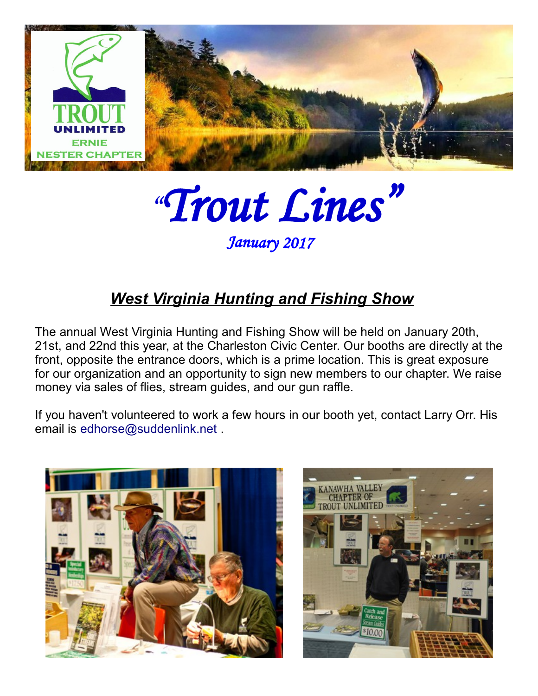

"Trout Lines"

January 2017

## *West Virginia Hunting and Fishing Show*

The annual West Virginia Hunting and Fishing Show will be held on January 20th, 21st, and 22nd this year, at the Charleston Civic Center. Our booths are directly at the front, opposite the entrance doors, which is a prime location. This is great exposure for our organization and an opportunity to sign new members to our chapter. We raise money via sales of flies, stream guides, and our gun raffle.

If you haven't volunteered to work a few hours in our booth yet, contact Larry Orr. His email is edhorse@suddenlink.net .



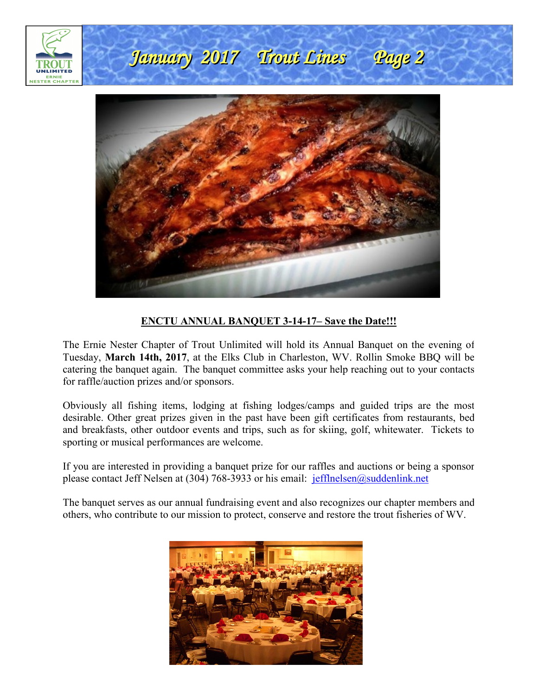

#### **ENCTU ANNUAL BANQUET 3-14-17– Save the Date!!!**

The Ernie Nester Chapter of Trout Unlimited will hold its Annual Banquet on the evening of Tuesday, **March 14th, 2017**, at the Elks Club in Charleston, WV. Rollin Smoke BBQ will be catering the banquet again. The banquet committee asks your help reaching out to your contacts for raffle/auction prizes and/or sponsors.

Obviously all fishing items, lodging at fishing lodges/camps and guided trips are the most desirable. Other great prizes given in the past have been gift certificates from restaurants, bed and breakfasts, other outdoor events and trips, such as for skiing, golf, whitewater. Tickets to sporting or musical performances are welcome.

If you are interested in providing a banquet prize for our raffles and auctions or being a sponsor please contact Jeff Nelsen at (304) 768-3933 or his email: jefflnelsen@suddenlink.net

The banquet serves as our annual fundraising event and also recognizes our chapter members and others, who contribute to our mission to protect, conserve and restore the trout fisheries of WV.

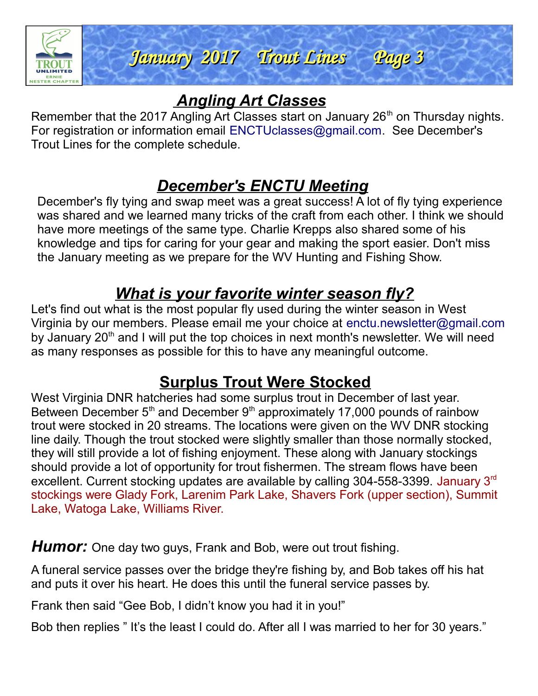

## *Angling Art Classes*

Remember that the 2017 Angling Art Classes start on January 26<sup>th</sup> on Thursday nights. For registration or information email ENCTUclasses@gmail.com. See December's Trout Lines for the complete schedule.

## *December's ENCTU Meeting*

December's fly tying and swap meet was a great success! A lot of fly tying experience was shared and we learned many tricks of the craft from each other. I think we should have more meetings of the same type. Charlie Krepps also shared some of his knowledge and tips for caring for your gear and making the sport easier. Don't miss the January meeting as we prepare for the WV Hunting and Fishing Show.

## *What is your favorite winter season fly?*

Let's find out what is the most popular fly used during the winter season in West Virginia by our members. Please email me your choice at enctu.newsletter@gmail.com by January  $20<sup>th</sup>$  and I will put the top choices in next month's newsletter. We will need as many responses as possible for this to have any meaningful outcome.

## **Surplus Trout Were Stocked**

West Virginia DNR hatcheries had some surplus trout in December of last year. Between December  $5<sup>th</sup>$  and December  $9<sup>th</sup>$  approximately 17,000 pounds of rainbow trout were stocked in 20 streams. The locations were given on the WV DNR stocking line daily. Though the trout stocked were slightly smaller than those normally stocked, they will still provide a lot of fishing enjoyment. These along with January stockings should provide a lot of opportunity for trout fishermen. The stream flows have been excellent. Current stocking updates are available by calling 304-558-3399. January 3rd stockings were Glady Fork, Larenim Park Lake, Shavers Fork (upper section), Summit Lake, Watoga Lake, Williams River.

**Humor:** One day two guys, Frank and Bob, were out trout fishing.

A funeral service passes over the bridge they're fishing by, and Bob takes off his hat and puts it over his heart. He does this until the funeral service passes by.

Frank then said "Gee Bob, I didn't know you had it in you!"

Bob then replies "It's the least I could do. After all I was married to her for 30 years."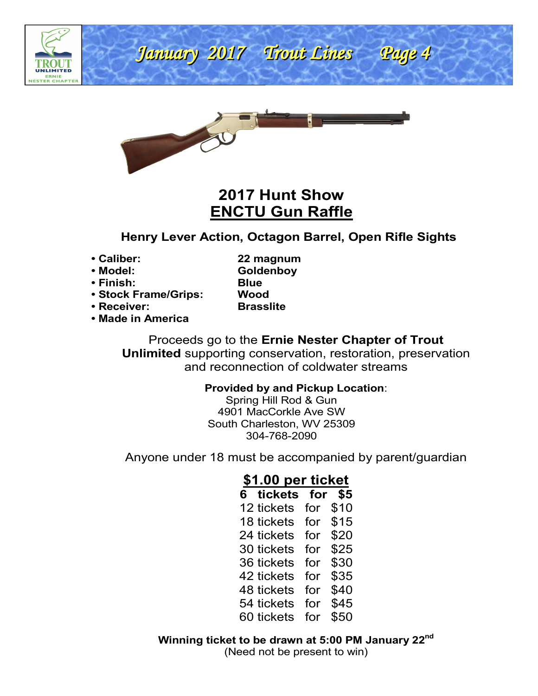

# January 2017 Trout Lines Page 4 January 2017 Trout Lines Page 4

ł



### **2017 Hunt Show ENCTU Gun Raffle**

#### **Henry Lever Action, Octagon Barrel, Open Rifle Sights**

**• Caliber: 22 magnum**

- **Model: Goldenboy • Finish: Blue**
	-
- **Stock Frame/Grips: Wood**
- **Receiver: Brasslite**

**• Made in America**

Proceeds go to the **Ernie Nester Chapter of Trout Unlimited** supporting conservation, restoration, preservation and reconnection of coldwater streams

#### **Provided by and Pickup Location**:

Spring Hill Rod & Gun 4901 MacCorkle Ave SW South Charleston, WV 25309 304-768-2090

Anyone under 18 must be accompanied by parent/guardian

#### **\$1.00 per ticket**

| 6 tickets  | for | \$5  |
|------------|-----|------|
| 12 tickets | for | \$10 |
| 18 tickets | for | \$15 |
| 24 tickets | for | \$20 |
| 30 tickets | for | \$25 |
| 36 tickets | for | \$30 |
| 42 tickets | for | \$35 |
| 48 tickets | for | \$40 |
| 54 tickets | for | \$45 |
| 60 tickets | for | \$50 |

**Winning ticket to be drawn at 5:00 PM January 22nd** (Need not be present to win)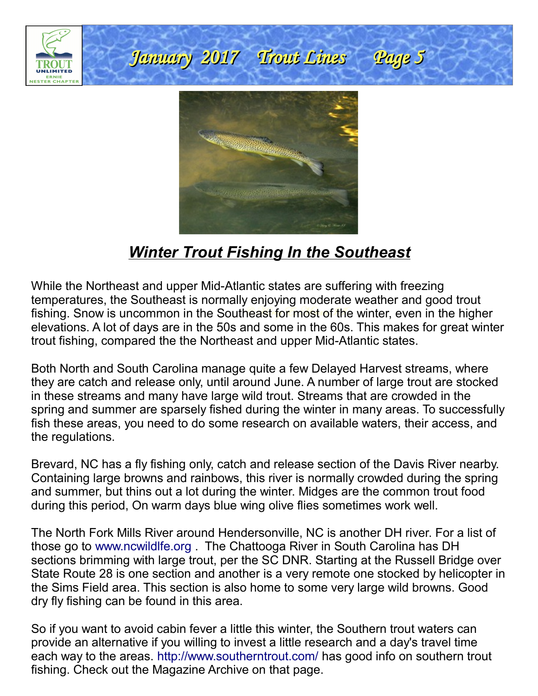

## *Winter Trout Fishing In the Southeast*

While the Northeast and upper Mid-Atlantic states are suffering with freezing temperatures, the Southeast is normally enjoying moderate weather and good trout fishing. Snow is uncommon in the Southeast for most of the winter, even in the higher elevations. A lot of days are in the 50s and some in the 60s. This makes for great winter trout fishing, compared the the Northeast and upper Mid-Atlantic states.

Both North and South Carolina manage quite a few Delayed Harvest streams, where they are catch and release only, until around June. A number of large trout are stocked in these streams and many have large wild trout. Streams that are crowded in the spring and summer are sparsely fished during the winter in many areas. To successfully fish these areas, you need to do some research on available waters, their access, and the regulations.

Brevard, NC has a fly fishing only, catch and release section of the Davis River nearby. Containing large browns and rainbows, this river is normally crowded during the spring and summer, but thins out a lot during the winter. Midges are the common trout food during this period, On warm days blue wing olive flies sometimes work well.

The North Fork Mills River around Hendersonville, NC is another DH river. For a list of those go to www.ncwildlfe.org . The Chattooga River in South Carolina has DH sections brimming with large trout, per the SC DNR. Starting at the Russell Bridge over State Route 28 is one section and another is a very remote one stocked by helicopter in the Sims Field area. This section is also home to some very large wild browns. Good dry fly fishing can be found in this area.

So if you want to avoid cabin fever a little this winter, the Southern trout waters can provide an alternative if you willing to invest a little research and a day's travel time each way to the areas. http://www.southerntrout.com/ has good info on southern trout fishing. Check out the Magazine Archive on that page.